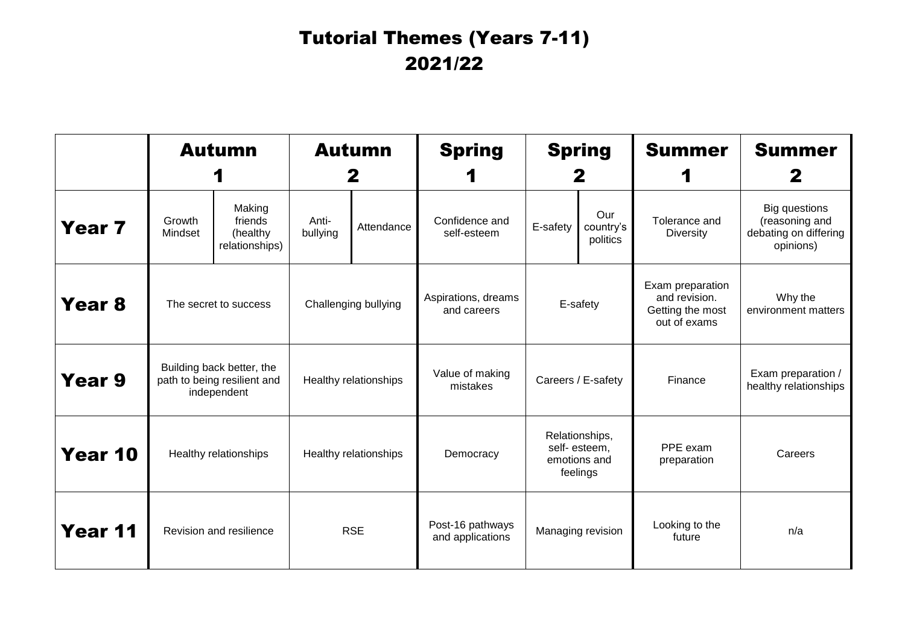## Tutorial Themes (Years 7-11) 2021/22

|                   | <b>Autumn</b>                                                           |                                                 | <b>Autumn</b><br>2    |            | <b>Spring</b>                        | <b>Spring</b><br>Z                                         |                              | <b>Summer</b>                                                         | <b>Summer</b><br>2                                                           |
|-------------------|-------------------------------------------------------------------------|-------------------------------------------------|-----------------------|------------|--------------------------------------|------------------------------------------------------------|------------------------------|-----------------------------------------------------------------------|------------------------------------------------------------------------------|
| Year 7            | Growth<br>Mindset                                                       | Making<br>friends<br>(healthy<br>relationships) | Anti-<br>bullying     | Attendance | Confidence and<br>self-esteem        | E-safety                                                   | Our<br>country's<br>politics | Tolerance and<br><b>Diversity</b>                                     | <b>Big questions</b><br>(reasoning and<br>debating on differing<br>opinions) |
| Year <sub>8</sub> | The secret to success                                                   |                                                 | Challenging bullying  |            | Aspirations, dreams<br>and careers   | E-safety                                                   |                              | Exam preparation<br>and revision.<br>Getting the most<br>out of exams | Why the<br>environment matters                                               |
| Year 9            | Building back better, the<br>path to being resilient and<br>independent |                                                 | Healthy relationships |            | Value of making<br>mistakes          | Careers / E-safety                                         |                              | Finance                                                               | Exam preparation /<br>healthy relationships                                  |
| Year 10           | Healthy relationships                                                   |                                                 | Healthy relationships |            | Democracy                            | Relationships,<br>self-esteem,<br>emotions and<br>feelings |                              | PPE exam<br>preparation                                               | Careers                                                                      |
| Year 11           | Revision and resilience                                                 |                                                 | <b>RSE</b>            |            | Post-16 pathways<br>and applications | Managing revision                                          |                              | Looking to the<br>future                                              | n/a                                                                          |